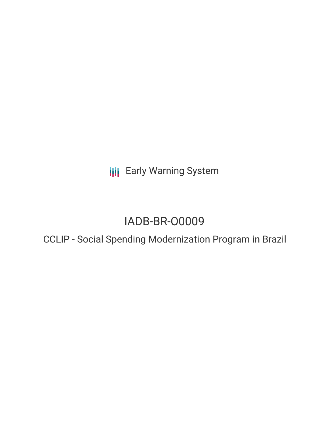**III** Early Warning System

# IADB-BR-O0009

## CCLIP - Social Spending Modernization Program in Brazil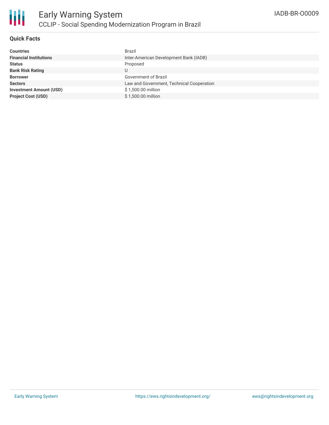

### **Quick Facts**

| <b>Countries</b>               | Brazil                                    |
|--------------------------------|-------------------------------------------|
| <b>Financial Institutions</b>  | Inter-American Development Bank (IADB)    |
| <b>Status</b>                  | Proposed                                  |
| <b>Bank Risk Rating</b>        | U                                         |
| <b>Borrower</b>                | Government of Brazil                      |
| <b>Sectors</b>                 | Law and Government, Technical Cooperation |
| <b>Investment Amount (USD)</b> | \$1,500.00 million                        |
| <b>Project Cost (USD)</b>      | \$1,500.00 million                        |
|                                |                                           |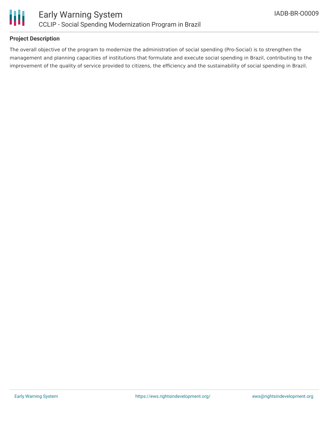

### **Project Description**

The overall objective of the program to modernize the administration of social spending (Pro-Social) is to strengthen the management and planning capacities of institutions that formulate and execute social spending in Brazil, contributing to the improvement of the quality of service provided to citizens, the efficiency and the sustainability of social spending in Brazil.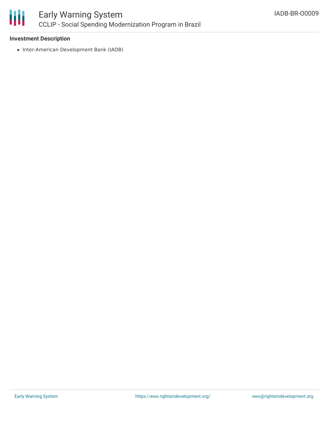

### Early Warning System CCLIP - Social Spending Modernization Program in Brazil

#### **Investment Description**

• Inter-American Development Bank (IADB)